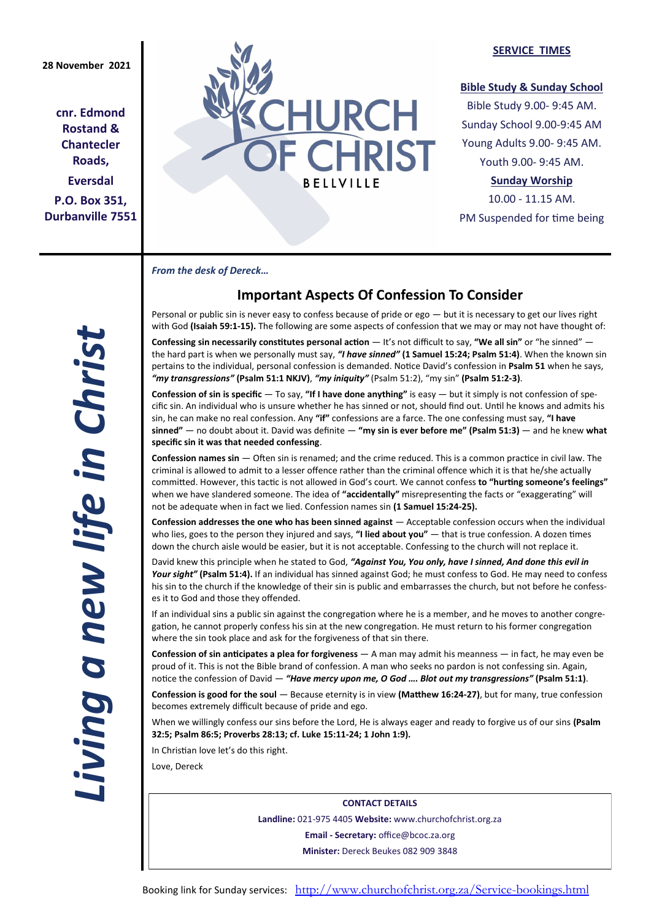**cnr. Edmond Rostand & Chantecler Roads, Eversdal P.O. Box 351, Durbanville 7551**



## **SERVICE TIMES**

## **Bible Study & Sunday School**

Bible Study 9.00- 9:45 AM. Sunday School 9.00-9:45 AM Young Adults 9.00- 9:45 AM. Youth 9.00- 9:45 AM.

## **Sunday Worship**

10.00 - 11.15 AM. PM Suspended for time being

*From the desk of Dereck…* 

# **Important Aspects Of Confession To Consider**

Personal or public sin is never easy to confess because of pride or ego — but it is necessary to get our lives right with God **(Isaiah 59:1-15).** The following are some aspects of confession that we may or may not have thought of:

**Confessing sin necessarily constitutes personal action** — It's not difficult to say, **"We all sin"** or "he sinned" the hard part is when we personally must say, *"I have sinned"* **(1 Samuel 15:24; Psalm 51:4)**. When the known sin pertains to the individual, personal confession is demanded. Notice David's confession in **Psalm 51** when he says, *"my transgressions"* **(Psalm 51:1 NKJV)**, *"my iniquity"* (Psalm 51:2), "my sin" **(Psalm 51:2-3)**.

**Confession of sin is specific** — To say, **"If I have done anything"** is easy — but it simply is not confession of specific sin. An individual who is unsure whether he has sinned or not, should find out. Until he knows and admits his sin, he can make no real confession. Any **"if"** confessions are a farce. The one confessing must say, **"I have sinned"** — no doubt about it. David was definite — **"my sin is ever before me" (Psalm 51:3)** — and he knew **what specific sin it was that needed confessing**.

**Confession names sin** — Often sin is renamed; and the crime reduced. This is a common practice in civil law. The criminal is allowed to admit to a lesser offence rather than the criminal offence which it is that he/she actually committed. However, this tactic is not allowed in God's court. We cannot confess **to "hurting someone's feelings"** when we have slandered someone. The idea of **"accidentally"** misrepresenting the facts or "exaggerating" will not be adequate when in fact we lied. Confession names sin **(1 Samuel 15:24-25).**

**Confession addresses the one who has been sinned against** — Acceptable confession occurs when the individual who lies, goes to the person they injured and says, **"I lied about you"** — that is true confession. A dozen times down the church aisle would be easier, but it is not acceptable. Confessing to the church will not replace it.

David knew this principle when he stated to God, *"Against You, You only, have I sinned, And done this evil in Your sight"* **(Psalm 51:4).** If an individual has sinned against God; he must confess to God. He may need to confess his sin to the church if the knowledge of their sin is public and embarrasses the church, but not before he confesses it to God and those they offended.

If an individual sins a public sin against the congregation where he is a member, and he moves to another congregation, he cannot properly confess his sin at the new congregation. He must return to his former congregation where the sin took place and ask for the forgiveness of that sin there.

**Confession of sin anticipates a plea for forgiveness** — A man may admit his meanness — in fact, he may even be proud of it. This is not the Bible brand of confession. A man who seeks no pardon is not confessing sin. Again, notice the confession of David — *"Have mercy upon me, O God …. Blot out my transgressions"* **(Psalm 51:1)**.

**Confession is good for the soul** — Because eternity is in view **(Matthew 16:24-27)**, but for many, true confession becomes extremely difficult because of pride and ego.

When we willingly confess our sins before the Lord, He is always eager and ready to forgive us of our sins **(Psalm 32:5; Psalm 86:5; Proverbs 28:13; cf. Luke 15:11-24; 1 John 1:9).**

In Christian love let's do this right.

Love, Dereck

**CONTACT DETAILS Landline:** 021-975 4405 **Website:** www.churchofchrist.org.za **Email - Secretary:** office@bcoc.za.org **Minister:** Dereck Beukes 082 909 3848